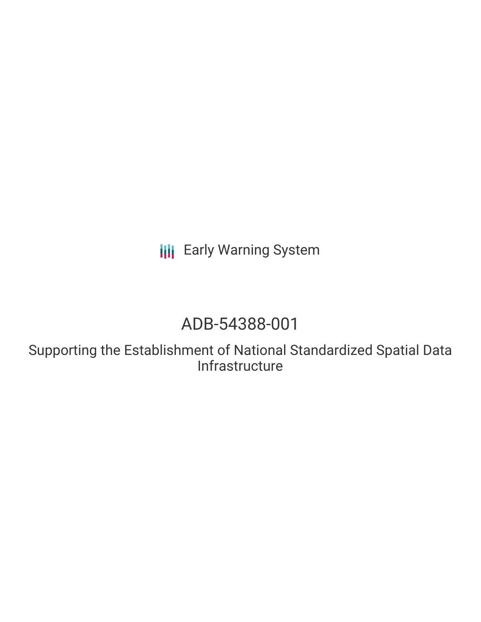**III** Early Warning System

# ADB-54388-001

Supporting the Establishment of National Standardized Spatial Data Infrastructure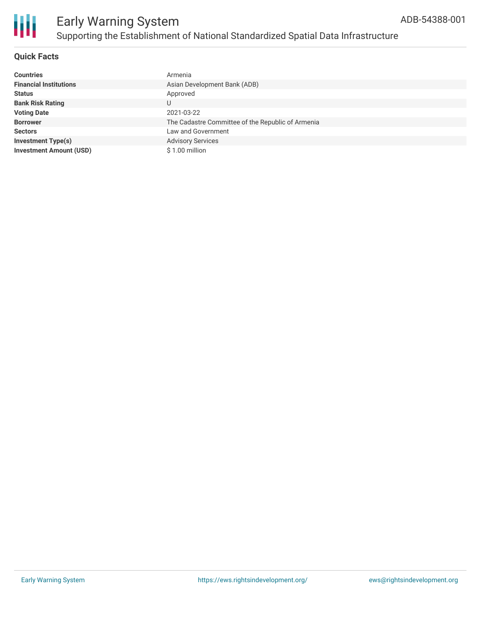

## **Quick Facts**

| <b>Countries</b>               | Armenia                                           |
|--------------------------------|---------------------------------------------------|
| <b>Financial Institutions</b>  | Asian Development Bank (ADB)                      |
| <b>Status</b>                  | Approved                                          |
| <b>Bank Risk Rating</b>        |                                                   |
| <b>Voting Date</b>             | 2021-03-22                                        |
| <b>Borrower</b>                | The Cadastre Committee of the Republic of Armenia |
| <b>Sectors</b>                 | Law and Government                                |
| <b>Investment Type(s)</b>      | <b>Advisory Services</b>                          |
| <b>Investment Amount (USD)</b> | \$1.00 million                                    |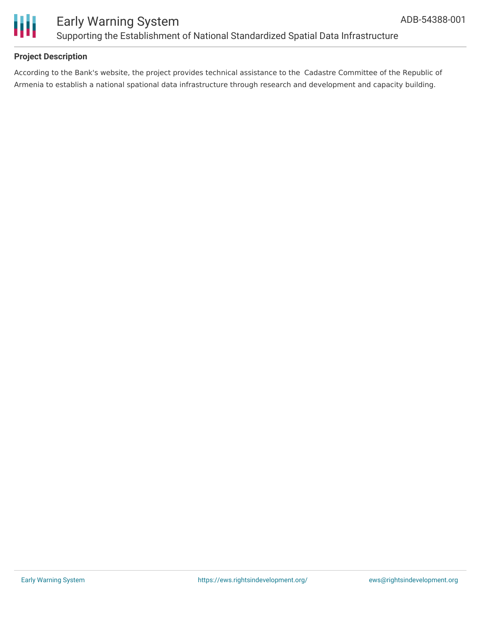

# Early Warning System Supporting the Establishment of National Standardized Spatial Data Infrastructure

## **Project Description**

According to the Bank's website, the project provides technical assistance to the Cadastre Committee of the Republic of Armenia to establish a national spational data infrastructure through research and development and capacity building.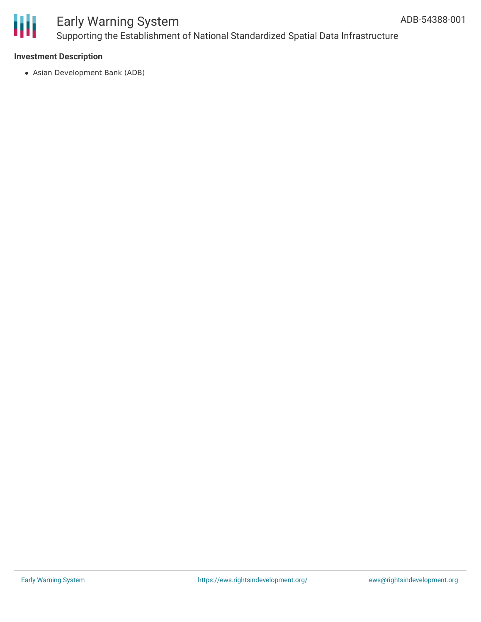

# Early Warning System Supporting the Establishment of National Standardized Spatial Data Infrastructure

## **Investment Description**

Asian Development Bank (ADB)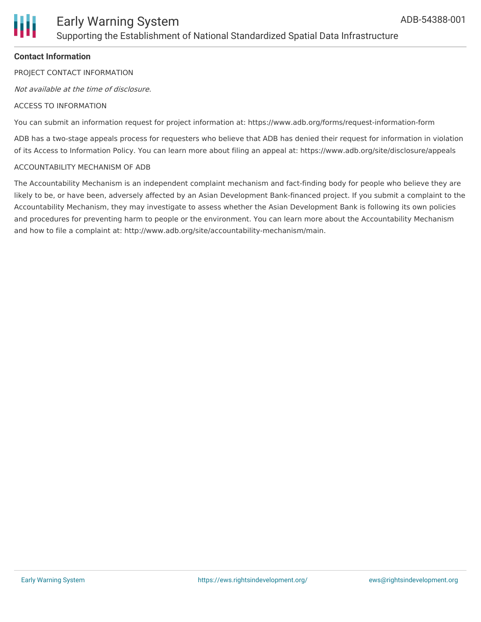

# Early Warning System Supporting the Establishment of National Standardized Spatial Data Infrastructure

## **Contact Information**

PROJECT CONTACT INFORMATION

Not available at the time of disclosure.

#### ACCESS TO INFORMATION

You can submit an information request for project information at: https://www.adb.org/forms/request-information-form

ADB has a two-stage appeals process for requesters who believe that ADB has denied their request for information in violation of its Access to Information Policy. You can learn more about filing an appeal at: https://www.adb.org/site/disclosure/appeals

#### ACCOUNTABILITY MECHANISM OF ADB

The Accountability Mechanism is an independent complaint mechanism and fact-finding body for people who believe they are likely to be, or have been, adversely affected by an Asian Development Bank-financed project. If you submit a complaint to the Accountability Mechanism, they may investigate to assess whether the Asian Development Bank is following its own policies and procedures for preventing harm to people or the environment. You can learn more about the Accountability Mechanism and how to file a complaint at: http://www.adb.org/site/accountability-mechanism/main.